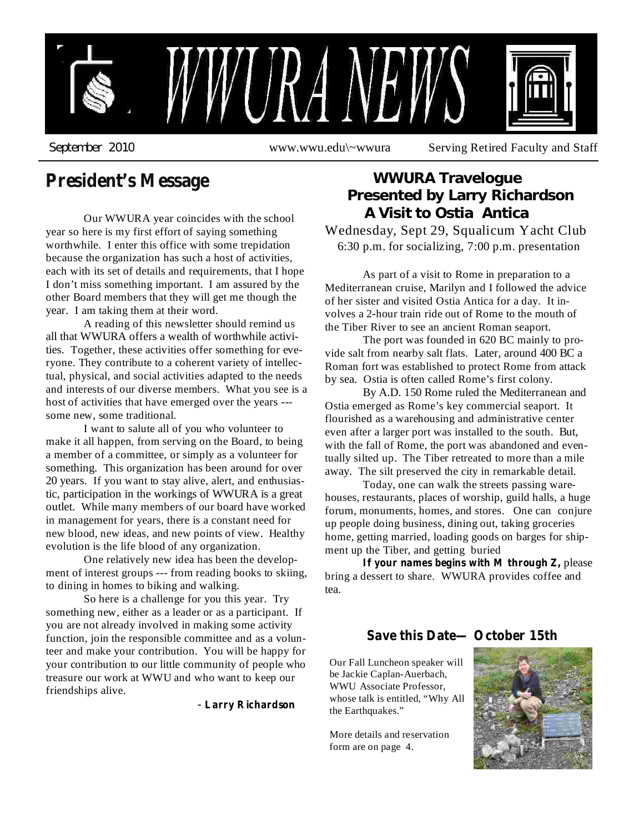

# **President's Message**

Our WWURA year coincides with the school year so here is my first effort of saying something worthwhile. I enter this office with some trepidation because the organization has such a host of activities, each with its set of details and requirements, that I hope I don't miss something important. I am assured by the other Board members that they will get me though the year. I am taking them at their word.

A reading of this newsletter should remind us all that WWURA offers a wealth of worthwhile activities. Together, these activities offer something for everyone. They contribute to a coherent variety of intellectual, physical, and social activities adapted to the needs and interests of our diverse members. What you see is a host of activities that have emerged over the years -- some new, some traditional.

I want to salute all of you who volunteer to make it all happen, from serving on the Board, to being a member of a committee, or simply as a volunteer for something. This organization has been around for over 20 years. If you want to stay alive, alert, and enthusiastic, participation in the workings of WWURA is a great outlet. While many members of our board have worked in management for years, there is a constant need for new blood, new ideas, and new points of view. Healthy evolution is the life blood of any organization.

One relatively new idea has been the development of interest groups --- from reading books to skiing, to dining in homes to biking and walking.

So here is a challenge for you this year. Try something new, either as a leader or as a participant. If you are not already involved in making some activity function, join the responsible committee and as a volunteer and make your contribution. You will be happy for your contribution to our little community of people who treasure our work at WWU and who want to keep our friendships alive.

**Larry Richardson** -

# Wednesday, Sept 29, Squalicum Yacht Club 6:30 p.m. for socializing, 7:00 p.m. presentation **WWURA Travelogue Presented by Larry Richardson A Visit to Ostia Antica**

As part of a visit to Rome in preparation to a Mediterranean cruise, Marilyn and I followed the advice of her sister and visited Ostia Antica for a day. It involves a 2-hour train ride out of Rome to the mouth of the Tiber River to see an ancient Roman seaport.

The port was founded in 620 BC mainly to provide salt from nearby salt flats. Later, around 400 BC a Roman fort was established to protect Rome from attack by sea. Ostia is often called Rome's first colony.

By A.D. 150 Rome ruled the Mediterranean and Ostia emerged as Rome's key commercial seaport. It flourished as a warehousing and administrative center even after a larger port was installed to the south. But, with the fall of Rome, the port was abandoned and eventually silted up. The Tiber retreated to more than a mile away. The silt preserved the city in remarkable detail.

Today, one can walk the streets passing warehouses, restaurants, places of worship, guild halls, a huge forum, monuments, homes, and stores. One can conjure up people doing business, dining out, taking groceries home, getting married, loading goods on barges for shipment up the Tiber, and getting buried

**If** your names begins with M through Z, please bring a dessert to share. WWURA provides coffee and tea.

### **Save this Date— October 15th**

Our Fall Luncheon speaker will be Jackie Caplan-Auerbach, WWU Associate Professor, whose talk is entitled, "Why All the Earthquakes."

More details and reservation form are on page 4.

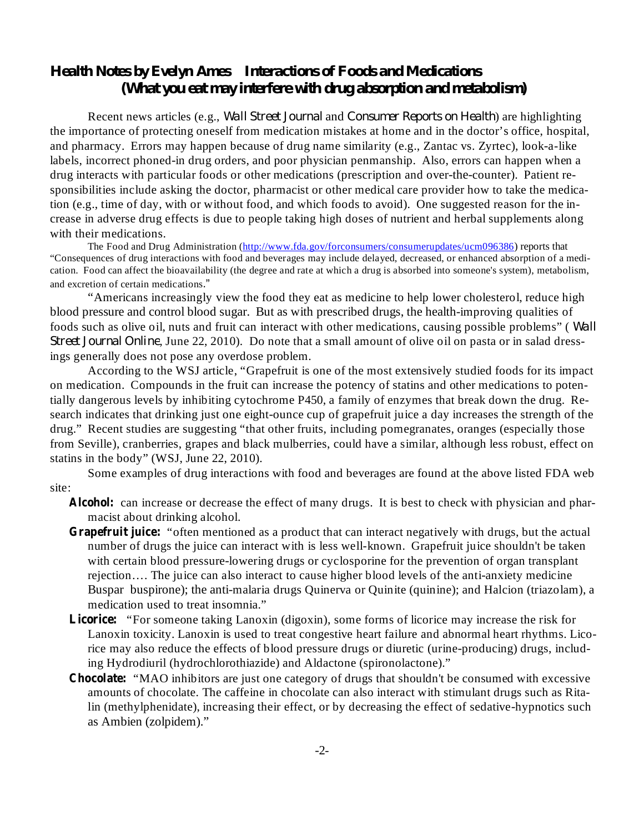## *Health Notes by Evelyn Ames Interactions of Foods and Medications (What you eat may interfere with drug absorption and metabolism)*

Recent news articles (e.g., *Wall Street Journal* and *Consumer Reports on Health*) are highlighting the importance of protecting oneself from medication mistakes at home and in the doctor's office, hospital, and pharmacy. Errors may happen because of drug name similarity (e.g., Zantac vs. Zyrtec), look-a-like labels, incorrect phoned-in drug orders, and poor physician penmanship. Also, errors can happen when a drug interacts with particular foods or other medications (prescription and over-the-counter). Patient responsibilities include asking the doctor, pharmacist or other medical care provider how to take the medication (e.g., time of day, with or without food, and which foods to avoid). One suggested reason for the increase in adverse drug effects is due to people taking high doses of nutrient and herbal supplements along with their medications.

The Food and Drug Administration (http://www.fda.gov/forconsumers/consumerupdates/ucm096386) reports that "Consequences of drug interactions with food and beverages may include delayed, decreased, or enhanced absorption of a medication. Food can affect the bioavailability (the degree and rate at which a drug is absorbed into someone's system), metabolism, and excretion of certain medications ."

"Americans increasingly view the food they eat as medicine to help lower cholesterol, reduce high blood pressure and control blood sugar. But as with prescribed drugs, the health-improving qualities of foods such as olive oil, nuts and fruit can interact with other medications, causing possible problems" ( *Wall Street Journal Online*, June 22, 2010). Do note that a small amount of olive oil on pasta or in salad dressings generally does not pose any overdose problem.

According to the WSJ article, "Grapefruit is one of the most extensively studied foods for its impact on medication. Compounds in the fruit can increase the potency of statins and other medications to potentially dangerous levels by inhibiting cytochrome P450, a family of enzymes that break down the drug. Research indicates that drinking just one eight-ounce cup of grapefruit juice a day increases the strength of the drug." Recent studies are suggesting "that other fruits, including pomegranates, oranges (especially those from Seville), cranberries, grapes and black mulberries, could have a similar, although less robust, effect on statins in the body" (WSJ, June 22, 2010).

Some examples of drug interactions with food and beverages are found at the above listed FDA web site:

- Alcohol: can increase or decrease the effect of many drugs. It is best to check with physician and pharmacist about drinking alcohol.
- Grapefruit juice: "often mentioned as a product that can interact negatively with drugs, but the actual number of drugs the juice can interact with is less well-known. Grapefruit juice shouldn't be taken with certain blood pressure-lowering drugs or cyclosporine for the prevention of organ transplant rejection…. The juice can also interact to cause higher blood levels of the anti-anxiety medicine Buspar buspirone); the anti-malaria drugs Quinerva or Quinite (quinine); and Halcion (triazolam), a medication used to treat insomnia."
- Licorice: "For someone taking Lanoxin (digoxin), some forms of licorice may increase the risk for Lanoxin toxicity. Lanoxin is used to treat congestive heart failure and abnormal heart rhythms. Licorice may also reduce the effects of blood pressure drugs or diuretic (urine-producing) drugs, including Hydrodiuril (hydrochlorothiazide) and Aldactone (spironolactone)."
- Chocolate: "MAO inhibitors are just one category of drugs that shouldn't be consumed with excessive amounts of chocolate. The caffeine in chocolate can also interact with stimulant drugs such as Ritalin (methylphenidate), increasing their effect, or by decreasing the effect of sedative-hypnotics such as Ambien (zolpidem)."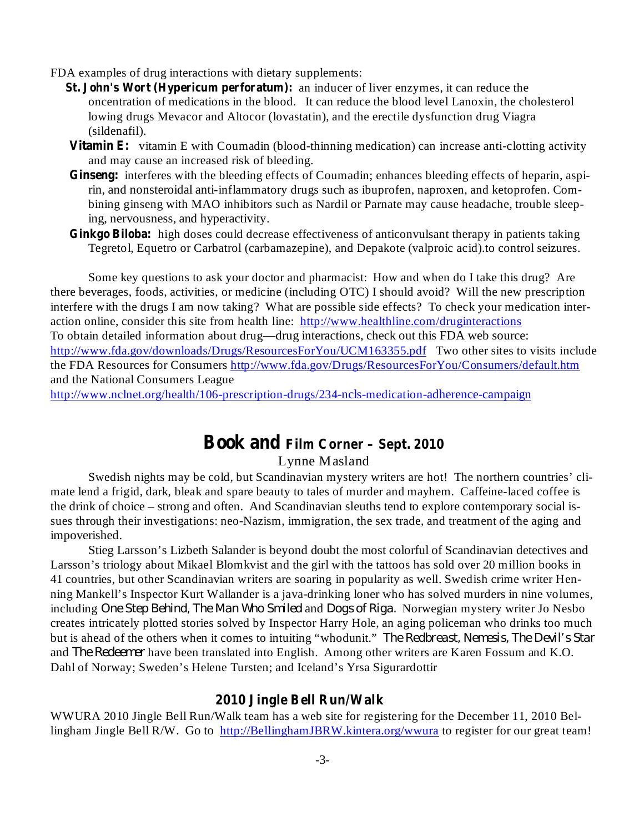FDA examples of drug interactions with dietary supplements:

- **St. John's Wort (Hypericum perforatum):** an inducer of liver enzymes, it can reduce the oncentration of medications in the blood. It can reduce the blood level Lanoxin, the cholesterol lowing drugs Mevacor and Altocor (lovastatin), and the erectile dysfunction drug Viagra (sildenafil).
- **Vitamin E:** vitamin E with Coumadin (blood-thinning medication) can increase anti-clotting activity and may cause an increased risk of bleeding.
- Ginseng: interferes with the bleeding effects of Coumadin; enhances bleeding effects of heparin, aspirin, and nonsteroidal anti-inflammatory drugs such as ibuprofen, naproxen, and ketoprofen. Combining ginseng with MAO inhibitors such as Nardil or Parnate may cause headache, trouble sleeping, nervousness, and hyperactivity.
- Ginkgo Biloba: high doses could decrease effectiveness of anticonvulsant therapy in patients taking Tegretol, Equetro or Carbatrol (carbamazepine), and Depakote (valproic acid).to control seizures.

Some key questions to ask your doctor and pharmacist: How and when do I take this drug? Are there beverages, foods, activities, or medicine (including OTC) I should avoid? Will the new prescription interfere with the drugs I am now taking? What are possible side effects? To check your medication interaction online, consider this site from health line: http://www.healthline.com/druginteractions To obtain detailed information about drug—drug interactions, check out this FDA web source: http://www.fda.gov/downloads/Drugs/ResourcesForYou/UCM163355.pdf Two other sites to visits include the FDA Resources for Consumers http://www.fda.gov/Drugs/ResourcesForYou/Consumers/default.htm and the National Consumers League

http://www.nclnet.org/health/106-prescription-drugs/234-ncls-medication-adherence-campaign

# **Book and Film Corner – Sept. 2010**

### Lynne Masland

Swedish nights may be cold, but Scandinavian mystery writers are hot! The northern countries' climate lend a frigid, dark, bleak and spare beauty to tales of murder and mayhem. Caffeine-laced coffee is the drink of choice – strong and often. And Scandinavian sleuths tend to explore contemporary social issues through their investigations: neo-Nazism, immigration, the sex trade, and treatment of the aging and impoverished.

Stieg Larsson's Lizbeth Salander is beyond doubt the most colorful of Scandinavian detectives and Larsson's triology about Mikael Blomkvist and the girl with the tattoos has sold over 20 million books in 41 countries, but other Scandinavian writers are soaring in popularity as well. Swedish crime writer Henning Mankell's Inspector Kurt Wallander is a java-drinking loner who has solved murders in nine volumes, *including One Step Behind, The Man Who Smiled and Dogs of Riga. Norwegian mystery writer Jo Nesbo* creates intricately plotted stories solved by Inspector Harry Hole, an aging policeman who drinks too much but is ahead of the others when it comes to intuiting "whodunit." *The Redbreast, Nemesis, The Devil's Star* and *The Redeemer* have been translated into English. Among other writers are Karen Fossum and K.O. Dahl of Norway; Sweden's Helene Tursten; and Iceland's Yrsa Sigurardottir

#### **2010 Jingle Bell Run/Walk**

WWURA 2010 Jingle Bell Run/Walk team has a web site for registering for the December 11, 2010 Bellingham Jingle Bell R/W. Go to http://BellinghamJBRW.kintera.org/wwura to register for our great team!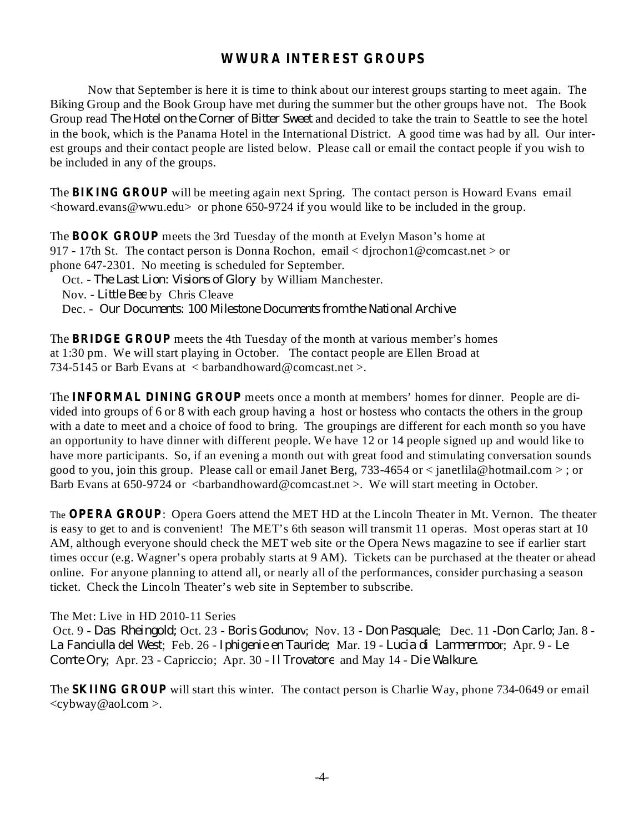## **WWURA INTEREST GROUPS**

Now that September is here it is time to think about our interest groups starting to meet again. The Biking Group and the Book Group have met during the summer but the other groups have not. The Book Group read The Hotel on the Corner of Bitter Sweet and decided to take the train to Seattle to see the hotel in the book, which is the Panama Hotel in the International District. A good time was had by all. Our interest groups and their contact people are listed below. Please call or email the contact people if you wish to be included in any of the groups.

The **BIKING GROUP** will be meeting again next Spring. The contact person is Howard Evans email <howard.evans@wwu.edu> or phone 650-9724 if you would like to be included in the group.

The **BOOK GROUP** meets the 3rd Tuesday of the month at Evelyn Mason's home at 917 - 17th St. The contact person is Donna Rochon, email < djrochon1@comcast.net > or phone 647-2301. No meeting is scheduled for September.

Oct. - The Last Lion: Visions of Glory by William Manchester. Nov. - Little Bee by Chris Cleave Dec. - *Our Documents: 100 Milestone Documents from the National Archive*

The **BRIDGE GROUP** meets the 4th Tuesday of the month at various member's homes at 1:30 pm. We will start playing in October. The contact people are Ellen Broad at 734-5145 or Barb Evans at < barbandhoward@comcast.net >.

The **INFORMAL DINING GROUP** meets once a month at members' homes for dinner. People are divided into groups of 6 or 8 with each group having a host or hostess who contacts the others in the group with a date to meet and a choice of food to bring. The groupings are different for each month so you have an opportunity to have dinner with different people. We have 12 or 14 people signed up and would like to have more participants. So, if an evening a month out with great food and stimulating conversation sounds good to you, join this group. Please call or email Janet Berg, 733-4654 or  $\lt$  janetlila@hotmail.com  $\gt$ ; or Barb Evans at 650-9724 or  $\langle$ barbandhoward@comcast.net >. We will start meeting in October.

The **OPERA GROUP**: Opera Goers attend the MET HD at the Lincoln Theater in Mt. Vernon. The theater is easy to get to and is convenient! The MET's 6th season will transmit 11 operas. Most operas start at 10 AM, although everyone should check the MET web site or the Opera News magazine to see if earlier start times occur (e.g. Wagner's opera probably starts at 9 AM). Tickets can be purchased at the theater or ahead online. For anyone planning to attend all, or nearly all of the performances, consider purchasing a season ticket. Check the Lincoln Theater's web site in September to subscribe.

### The Met: Live in HD 2010-11 Series

Oct. 9 - Das Rheingold; Oct. 23 - Boris Godunov; Nov. 13 - Don Pasquale; Dec. 11 - Don Carlo; Jan. 8 -; Feb. 26 - Mar. 19 - r; Apr. 9 - *La Fanciulla del West Iphigenie en Tauride; Lucia di Lammermoo Le* Comte Ory; Apr. 23 - Capriccio; Apr. 30 - Il Trovatore and May 14 - Die Walkure.

The **SKIING GROUP** will start this winter. The contact person is Charlie Way, phone 734-0649 or email <cybway@aol.com >.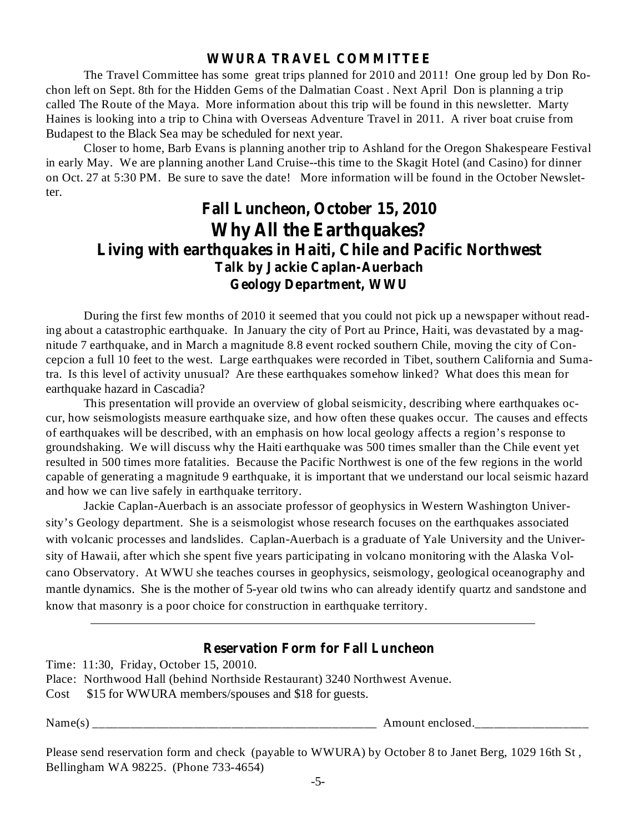## **WWURA TRAVEL COMMITTEE**

The Travel Committee has some great trips planned for 2010 and 2011! One group led by Don Rochon left on Sept. 8th for the Hidden Gems of the Dalmatian Coast . Next April Don is planning a trip called The Route of the Maya. More information about this trip will be found in this newsletter. Marty Haines is looking into a trip to China with Overseas Adventure Travel in 2011. A river boat cruise from Budapest to the Black Sea may be scheduled for next year.

Closer to home, Barb Evans is planning another trip to Ashland for the Oregon Shakespeare Festival in early May. We are planning another Land Cruise--this time to the Skagit Hotel (and Casino) for dinner on Oct. 27 at 5:30 PM. Be sure to save the date! More information will be found in the October Newsletter.

# **Fall Luncheon, October 15, 2010 Why All the Earthquakes? Living with earthquakes in Haiti, Chile and Pacific Northwest Talk by Jackie Caplan-Auerbach Geology Department, WWU**

During the first few months of 2010 it seemed that you could not pick up a newspaper without reading about a catastrophic earthquake. In January the city of Port au Prince, Haiti, was devastated by a magnitude 7 earthquake, and in March a magnitude 8.8 event rocked southern Chile, moving the city of Concepcion a full 10 feet to the west. Large earthquakes were recorded in Tibet, southern California and Sumatra. Is this level of activity unusual? Are these earthquakes somehow linked? What does this mean for earthquake hazard in Cascadia?

This presentation will provide an overview of global seismicity, describing where earthquakes occur, how seismologists measure earthquake size, and how often these quakes occur. The causes and effects of earthquakes will be described, with an emphasis on how local geology affects a region's response to groundshaking. We will discuss why the Haiti earthquake was 500 times smaller than the Chile event yet resulted in 500 times more fatalities. Because the Pacific Northwest is one of the few regions in the world capable of generating a magnitude 9 earthquake, it is important that we understand our local seismic hazard and how we can live safely in earthquake territory.

Jackie Caplan-Auerbach is an associate professor of geophysics in Western Washington University's Geology department. She is a seismologist whose research focuses on the earthquakes associated with volcanic processes and landslides. Caplan-Auerbach is a graduate of Yale University and the University of Hawaii, after which she spent five years participating in volcano monitoring with the Alaska Volcano Observatory. At WWU she teaches courses in geophysics, seismology, geological oceanography and mantle dynamics. She is the mother of 5-year old twins who can already identify quartz and sandstone and know that masonry is a poor choice for construction in earthquake territory.

## **Reservation Form for Fall Luncheon**

Time: 11:30, Friday, October 15, 20010.

|  |  |  |  | Place: Northwood Hall (behind Northside Restaurant) 3240 Northwest Avenue. |
|--|--|--|--|----------------------------------------------------------------------------|
|--|--|--|--|----------------------------------------------------------------------------|

Cost \$15 for WWURA members/spouses and \$18 for guests.

Name(s) \_\_\_\_\_\_\_\_\_\_\_\_\_\_\_\_\_\_\_\_\_\_\_\_\_\_\_\_\_\_\_\_\_\_\_\_\_\_\_\_\_\_\_\_\_ Amount enclosed.\_\_\_\_\_\_\_\_\_\_\_\_\_\_\_\_\_\_

Please send reservation form and check (payable to WWURA) by October 8 to Janet Berg, 1029 16th St , Bellingham WA 98225. (Phone 733-4654)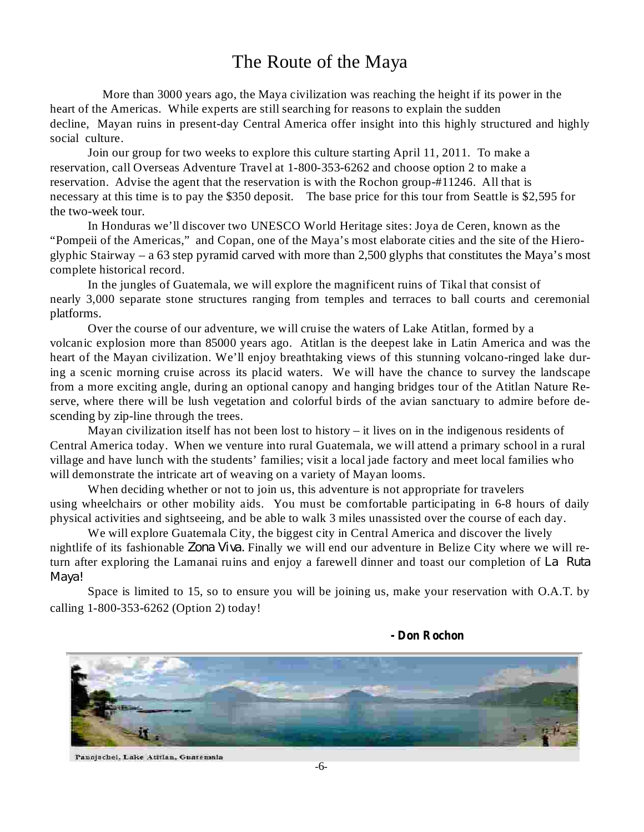# The Route of the Maya

More than 3000 years ago, the Maya civilization was reaching the height if its power in the heart of the Americas. While experts are still searching for reasons to explain the sudden decline, Mayan ruins in present-day Central America offer insight into this highly structured and highly social culture.

Join our group for two weeks to explore this culture starting April 11, 2011. To make a reservation, call Overseas Adventure Travel at 1-800-353-6262 and choose option 2 to make a reservation. Advise the agent that the reservation is with the Rochon group-#11246. All that is necessary at this time is to pay the \$350 deposit. The base price for this tour from Seattle is \$2,595 for the two-week tour.

In Honduras we'll discover two UNESCO World Heritage sites: Joya de Ceren, known as the "Pompeii of the Americas," and Copan, one of the Maya's most elaborate cities and the site of the Hieroglyphic Stairway – a 63 step pyramid carved with more than 2,500 glyphs that constitutes the Maya's most complete historical record.

In the jungles of Guatemala, we will explore the magnificent ruins of Tikal that consist of nearly 3,000 separate stone structures ranging from temples and terraces to ball courts and ceremonial platforms.

Over the course of our adventure, we will cruise the waters of Lake Atitlan, formed by a volcanic explosion more than 85000 years ago. Atitlan is the deepest lake in Latin America and was the heart of the Mayan civilization. We'll enjoy breathtaking views of this stunning volcano-ringed lake during a scenic morning cruise across its placid waters. We will have the chance to survey the landscape from a more exciting angle, during an optional canopy and hanging bridges tour of the Atitlan Nature Reserve, where there will be lush vegetation and colorful birds of the avian sanctuary to admire before descending by zip-line through the trees.

Mayan civilization itself has not been lost to history – it lives on in the indigenous residents of Central America today. When we venture into rural Guatemala, we will attend a primary school in a rural village and have lunch with the students' families; visit a local jade factory and meet local families who will demonstrate the intricate art of weaving on a variety of Mayan looms.

When deciding whether or not to join us, this adventure is not appropriate for travelers using wheelchairs or other mobility aids. You must be comfortable participating in 6-8 hours of daily physical activities and sightseeing, and be able to walk 3 miles unassisted over the course of each day.

We will explore Guatemala City, the biggest city in Central America and discover the lively nightlife of its fashionable Zona Viva. Finally we will end our adventure in Belize City where we will return after exploring the Lamanai ruins and enjoy a farewell dinner and toast our completion of *La Ruta Maya!*

Space is limited to 15, so to ensure you will be joining us, make your reservation with O.A.T. by calling 1-800-353-6262 (Option 2) today!

#### **- Don Rochon**



Panajachel, Lake Atitlan, Guatemala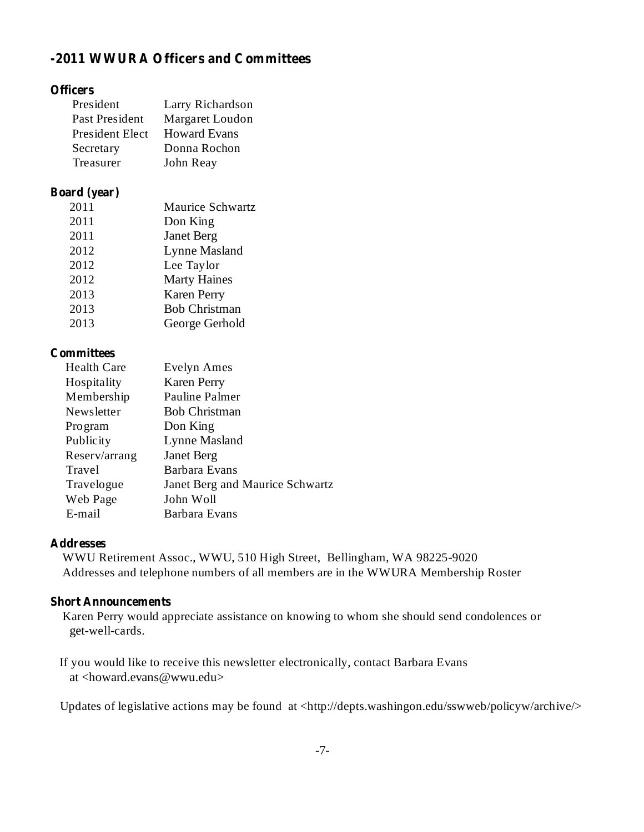# **-2011 WWURA Officers and Committees**

### **Officers**

| President       | Larry Richardson    |
|-----------------|---------------------|
| Past President  | Margaret Loudon     |
| President Elect | <b>Howard Evans</b> |
| Secretary       | Donna Rochon        |
| Treasurer       | John Reay           |

#### **Board (year)**

| 2011 | <b>Maurice Schwartz</b> |
|------|-------------------------|
| 2011 | Don King                |
| 2011 | <b>Janet Berg</b>       |
| 2012 | <b>Lynne Masland</b>    |
| 2012 | Lee Taylor              |
| 2012 | <b>Marty Haines</b>     |
| 2013 | <b>Karen Perry</b>      |
| 2013 | <b>Bob Christman</b>    |
| 2013 | George Gerhold          |
|      |                         |

### **Committees**

| <b>Health Care</b> | <b>Evelyn Ames</b>              |
|--------------------|---------------------------------|
| Hospitality        | <b>Karen Perry</b>              |
| Membership         | Pauline Palmer                  |
| Newsletter         | <b>Bob Christman</b>            |
| <b>Program</b>     | Don King                        |
| Publicity          | Lynne Masland                   |
| Reserv/arrang      | <b>Janet Berg</b>               |
| Travel             | Barbara Evans                   |
| Travelogue         | Janet Berg and Maurice Schwartz |
| Web Page           | John Woll                       |
| E-mail             | Barbara Evans                   |

## **Addresses**

WWU Retirement Assoc., WWU, 510 High Street, Bellingham, WA 98225-9020 Addresses and telephone numbers of all members are in the WWURA Membership Roster

### **Short Announcements**

Karen Perry would appreciate assistance on knowing to whom she should send condolences or get-well-cards.

If you would like to receive this newsletter electronically, contact Barbara Evans at <howard.evans@wwu.edu>

Updates of legislative actions may be found at <http://depts.washingon.edu/sswweb/policyw/archive/>